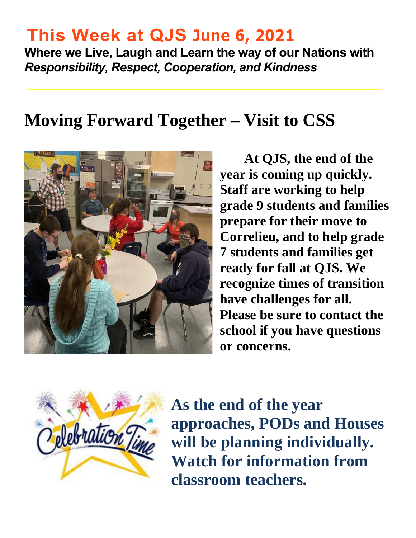## **This Week at QJS June 6, 2021**

**Where we Live, Laugh and Learn the way of our Nations with**  *Responsibility, Respect, Cooperation, and Kindness* 

## **Moving Forward Together – Visit to CSS**



**At QJS, the end of the year is coming up quickly. Staff are working to help grade 9 students and families prepare for their move to Correlieu, and to help grade 7 students and families get ready for fall at QJS. We recognize times of transition have challenges for all. Please be sure to contact the school if you have questions or concerns.** 



**As the end of the year approaches, PODs and Houses will be planning individually. Watch for information from classroom teachers.**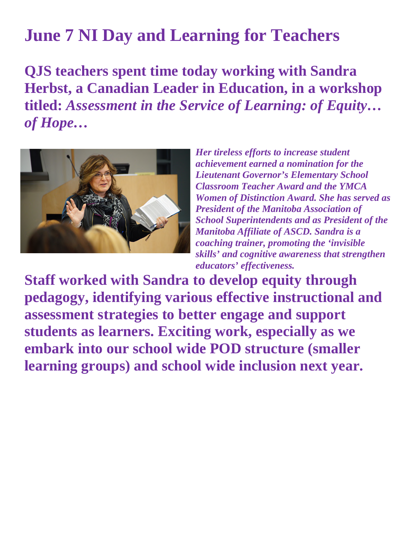# **June 7 NI Day and Learning for Teachers**

**QJS teachers spent time today working with Sandra Herbst, a Canadian Leader in Education, in a workshop titled:** *Assessment in the Service of Learning: of Equity… of Hope…*



*Her tireless efforts to increase student achievement earned a nomination for the Lieutenant Governor's Elementary School Classroom Teacher Award and the YMCA Women of Distinction Award. She has served as President of the Manitoba Association of School Superintendents and as President of the Manitoba Affiliate of ASCD. Sandra is a coaching trainer, promoting the 'invisible skills' and cognitive awareness that strengthen educators' effectiveness.*

**Staff worked with Sandra to develop equity through pedagogy, identifying various effective instructional and assessment strategies to better engage and support students as learners. Exciting work, especially as we embark into our school wide POD structure (smaller learning groups) and school wide inclusion next year.**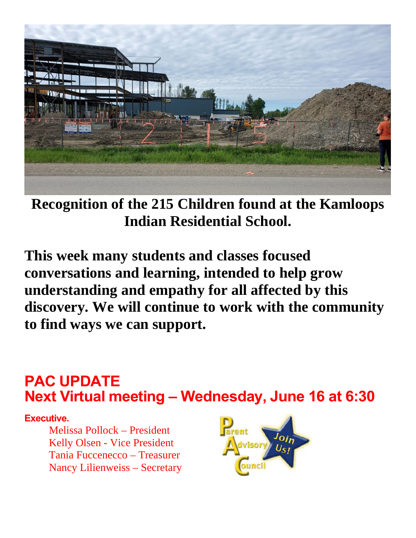

**Recognition of the 215 Children found at the Kamloops Indian Residential School.** 

**This week many students and classes focused conversations and learning, intended to help grow understanding and empathy for all affected by this discovery. We will continue to work with the community to find ways we can support.** 

### **PAC UPDATE Next Virtual meeting – Wednesday, June 16 at 6:30**

#### **Executive.**

Melissa Pollock – President Kelly Olsen - Vice President Tania Fuccenecco – Treasurer Nancy Lilienweiss – Secretary

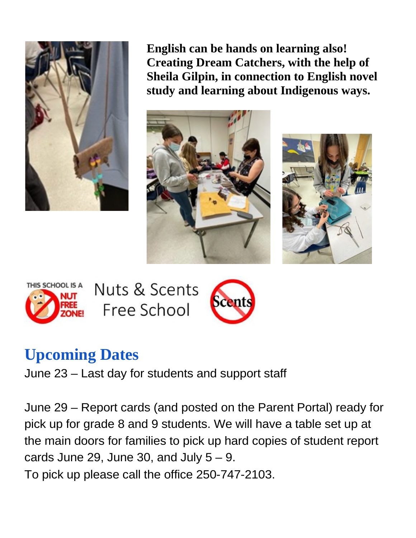

**English can be hands on learning also! Creating Dream Catchers, with the help of Sheila Gilpin, in connection to English novel study and learning about Indigenous ways.** 







Nuts & Scents Free School



# **Upcoming Dates**

June 23 – Last day for students and support staff

June 29 – Report cards (and posted on the Parent Portal) ready for pick up for grade 8 and 9 students. We will have a table set up at the main doors for families to pick up hard copies of student report cards June 29, June 30, and July  $5 - 9$ .

To pick up please call the office 250-747-2103.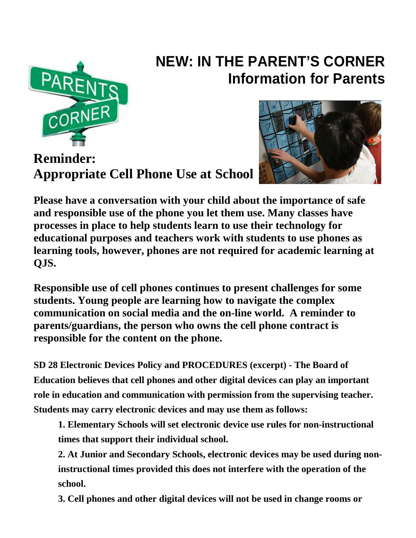

## **NEW: IN THE PARENT'S CORNER Information for Parents**



**Reminder: Appropriate Cell Phone Use at School** 

**Please have a conversation with your child about the importance of safe and responsible use of the phone you let them use. Many classes have processes in place to help students learn to use their technology for educational purposes and teachers work with students to use phones as learning tools, however, phones are not required for academic learning at QJS.** 

**Responsible use of cell phones continues to present challenges for some students. Young people are learning how to navigate the complex communication on social media and the on-line world. A reminder to parents/guardians, the person who owns the cell phone contract is responsible for the content on the phone.** 

**SD 28 Electronic Devices Policy and PROCEDURES (excerpt) - The Board of Education believes that cell phones and other digital devices can play an important role in education and communication with permission from the supervising teacher. Students may carry electronic devices and may use them as follows:** 

**1. Elementary Schools will set electronic device use rules for non-instructional times that support their individual school.** 

**2. At Junior and Secondary Schools, electronic devices may be used during noninstructional times provided this does not interfere with the operation of the school.** 

**3. Cell phones and other digital devices will not be used in change rooms or**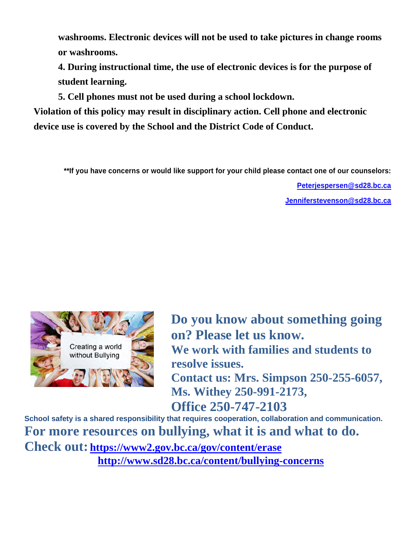**washrooms. Electronic devices will not be used to take pictures in change rooms or washrooms.** 

**4. During instructional time, the use of electronic devices is for the purpose of student learning.** 

**5. Cell phones must not be used during a school lockdown.** 

**Violation of this policy may result in disciplinary action. Cell phone and electronic device use is covered by the School and the District Code of Conduct.**

**\*\*If you have concerns or would like support for your child please contact one of our counselors:** 

**[Peterjespersen@sd28.bc.ca](mailto:Peterjespersen@sd28.bc.ca)**

**[Jenniferstevenson@sd28.bc.ca](mailto:Jenniferstevenson@sd28.bc.ca)**



**Do you know about something going on? Please let us know. We work with families and students to resolve issues. Contact us: Mrs. Simpson 250-255-6057, Ms. Withey 250-991-2173, Office 250-747-2103** 

**School safety is a shared responsibility that requires cooperation, collaboration and communication. For more resources on bullying, what it is and what to do. Check out: <https://www2.gov.bc.ca/gov/content/erase> <http://www.sd28.bc.ca/content/bullying-concerns>**